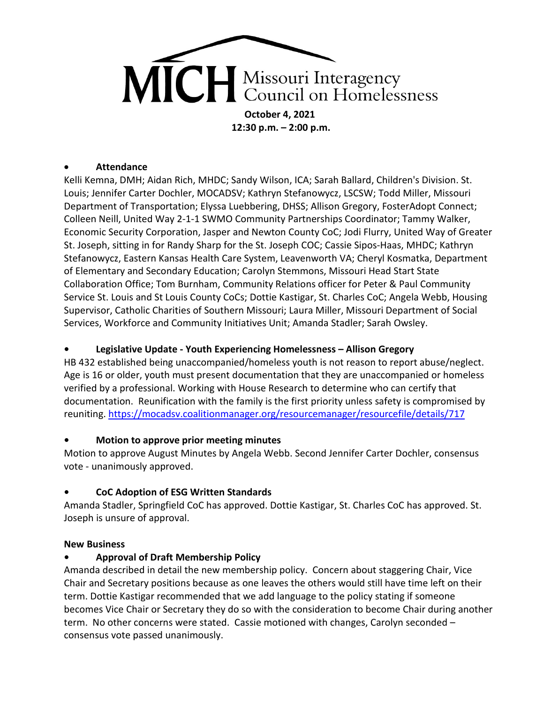

**12:30 p.m. – 2:00 p.m.** 

#### • **Attendance**

Kelli Kemna, DMH; Aidan Rich, MHDC; Sandy Wilson, ICA; Sarah Ballard, Children's Division. St. Louis; Jennifer Carter Dochler, MOCADSV; Kathryn Stefanowycz, LSCSW; Todd Miller, Missouri Department of Transportation; Elyssa Luebbering, DHSS; Allison Gregory, FosterAdopt Connect; Colleen Neill, United Way 2-1-1 SWMO Community Partnerships Coordinator; Tammy Walker, Economic Security Corporation, Jasper and Newton County CoC; Jodi Flurry, United Way of Greater St. Joseph, sitting in for Randy Sharp for the St. Joseph COC; Cassie Sipos-Haas, MHDC; Kathryn Stefanowycz, Eastern Kansas Health Care System, Leavenworth VA; Cheryl Kosmatka, Department of Elementary and Secondary Education; Carolyn Stemmons, Missouri Head Start State Collaboration Office; Tom Burnham, Community Relations officer for Peter & Paul Community Service St. Louis and St Louis County CoCs; Dottie Kastigar, St. Charles CoC; Angela Webb, Housing Supervisor, Catholic Charities of Southern Missouri; Laura Miller, Missouri Department of Social Services, Workforce and Community Initiatives Unit; Amanda Stadler; Sarah Owsley.

#### **• Legislative Update - Youth Experiencing Homelessness – Allison Gregory**

HB 432 established being unaccompanied/homeless youth is not reason to report abuse/neglect. Age is 16 or older, youth must present documentation that they are unaccompanied or homeless verified by a professional. Working with House Research to determine who can certify that documentation. Reunification with the family is the first priority unless safety is compromised by reuniting.<https://mocadsv.coalitionmanager.org/resourcemanager/resourcefile/details/717>

#### **• Motion to approve prior meeting minutes**

Motion to approve August Minutes by Angela Webb. Second Jennifer Carter Dochler, consensus vote - unanimously approved.

### **• CoC Adoption of ESG Written Standards**

Amanda Stadler, Springfield CoC has approved. Dottie Kastigar, St. Charles CoC has approved. St. Joseph is unsure of approval.

#### **New Business**

### **• Approval of Draft Membership Policy**

Amanda described in detail the new membership policy. Concern about staggering Chair, Vice Chair and Secretary positions because as one leaves the others would still have time left on their term. Dottie Kastigar recommended that we add language to the policy stating if someone becomes Vice Chair or Secretary they do so with the consideration to become Chair during another term. No other concerns were stated. Cassie motioned with changes, Carolyn seconded – consensus vote passed unanimously.